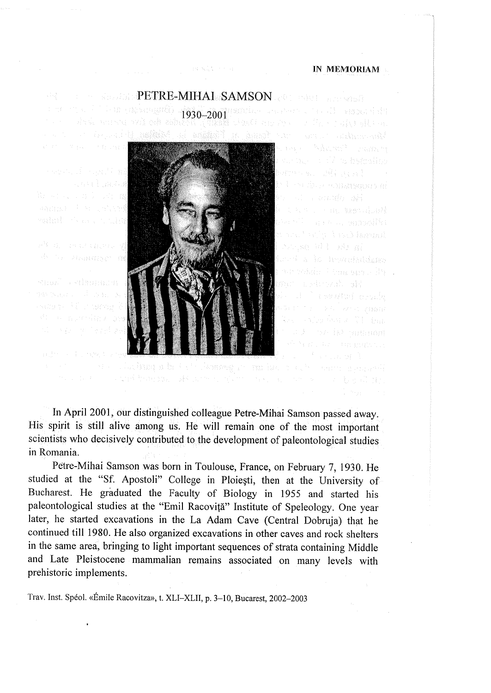## IN MEMORIAM IN MEMORIAM

PETRE-MIHAI SAMSON 1930-2001 1930-2001 그 사람에 대한 사람들이 잘 했어? Barnessen 1941 av Still alah berta**l** bel en dele constitució di

BOARD STOR



dered a la treguisdiana rest which has say Ab . An Amhain Citiya

In April 2001, our distinguished colleague Petre-Mihai Samson passed away. In April 2001, our distinguished colleague Petre-Mihai Samson passed away. His spirit is still alive among us. He will remain one of the most important His spirit is still alive among us. He will remain one of the most important scientists who decisively contributed to the development of paleontological studies scientists who decisively contributed to the development of paleontological studies in Romania. in Romania.

and developed the construction of the construction of the property

Petre-Mihai Samson was born in Toulouse, France, on February 7, 1930. He Petre-Mihai Samson was born in Toulouse, France, on February 7, 1930. He studied at the "Sf. Apostoli" College in Ploiesti, then at the University of studied at the "Sf. Apostoli" College in Ploiesti, then at the University of Bucharest. He graduated the Faculty of Biology in 1955 and started his paleontological studies at the "Emil Racovifa" Institute of Speleology. One year paleontological studies at the "Emil Racovifa" Institute of Speleology. One year later, he started excavations in the La Adam Cave (Central Dobruja) that he later, he started excavations in the La Adam Cave (Central Dobruja) that he continued till 1980. He also organized excavations in other caves and rock shelters continued till 1980. He also organized excavations in other caves and rock shelters in the same area, bringing to light important sequences of strata containing Middle in the same area, bringing to light important sequences of strata containing Middle and Late Pleistocene mammalian remains associated on many levels with and Late Pleistocene mammalian remains associated on many levels with prehistoric implements. prehistoric implements.

Trav. Inst. Spéol. «Émile Racovitza», t. XLI–XLII, p. 3–10. Bucarest, 2002–2003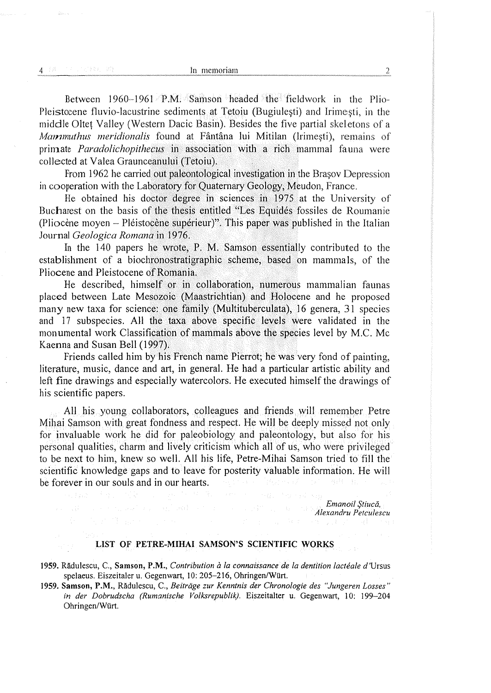Between 1960-1961 P.M. Samson. headed the fieldwork in the Plio-Between 1960-1961. P.M. Samson. headed the fieldwork in the Plio-Pleistocene fluvio-lacustrine sediments at Tetoiu (Bugiulesti) and Irimesti, in the Pleistocene fluvio-lacustrine sediments. at Tetoiu (Bugiulesti) and Irimesti, in the middle Oltet Valley (Western Dacic Basin). Besides the five partial skeletons of a middle Oltet Valley (Western Dacic Basin). Besides the five partial skeletons of a Mammuthus meridionalis found at Fântâna lui Mitilan (Irimești), remains of primate *Paradolichopithecus* in association with a rich mammal fauna were collected at Valea Graunceanului (Tetoiu), collected at Valea Graunceanului (Tetoiu),

From 1962 he carried out paleontological investigation in the Brasov Depression From 1962 he carried out paleontological investigation in the Brasov Depression in cooperation with the Laboratory for Quaternary Geology, Meudon, France.

He obtained his doctor degree in sciences in 1975 at the University of He obtained his doctor degree in sciences in 1975 at the University of Bucharest on the basis of the thesis entitled "Les Equidés fossiles de Roumanie Bucharest on the basis of the thesis entitled "Les Equidés fossiles de Roumanie (Pliocène moyen – Pléistocène supérieur)". This paper was published in the Italian Journal *Geologica Romana* in 1976.

In the 140 papers he wrote, P.M. Samson essentially contributed to the establishment of a biochronostratigraphic scheme, based on mammals, of the establishment of a biochronostratigraphic scheme, based on mammals, of the Pliocene and Pleistocene of Romania.

He described, himself or in collaboration, numerous mammalian faunas He described, himself or in collaboration numerous mammalian faunas placed between Late Mesozoic (Maastrichtian) and Holocene and he proposed placed between Late Mesozoic (Maastrichtian) and Holocene and he proposed many new taxa for science: one family (Multituberculata), 16 genera, 31] species many new taxa for science: one family (Multituberculata), 16 genera, 31] species and 17 subspecies. All the taxa above specific levels were validated in the and 17 subspecies. All the taxa above specific levels were validated in the monumental work Classification of mammals above the species level by M.C. Mc Kaenna and Susan Bell (1997). Kaenna and Susan Bell (1997).

Friends called him by his French name Pierrot; he was very fond of painting, Friends called him by his French name Pierrot; he was very fond of painting, literature, music, dance and art, in general. He had a particular artistic ability and literature, music, dance and art, in general. He had a particular artistic ability and left fine drawings and especially watercolors. He executed himself the drawings of left fine drawings and especially watercolors. He executed himself the drawings of his scientific papers. his scientific papers.

All his young collaborators, colleagues and friends will remember Petre Mihai Samson with great fondness and respect. He will be deeply missed not only Mihai Samson with great fondness and respect. He will be deeply missed not only for invaluable work he did for paleobiology and paleontology, but also for his for invaluable work he did for paleobiology and paleontology, but also for his personal qualities, charm and lively criticism which all of us, who were privileged personal qualities, charm and lively criticism which all of us, who were privileged to be next to him, knew so well. All his life, Petre-Mihai Samson tried to fill the scientific knowledge gaps and to leave for posterity valuable information. He will scientific knowledge gaps and to leave for posterity valuable information. He will be forever in our souls and in our hearts. be forever in our souls and in our hearts. Capter Gro

> Emanoil Stiucă, Alexandru Petculescu Alexandru Petculescu

## LIST OF PETRE-MIHAI SAMSON'S SCIENTIFIC WORKS LIST OF PETRE-MIHAI SAMSON'S SCIENTIFIC WORKS

- 1959. Rădulescu, C., Samson, P.M., *Contribution à la connaissance de la dentition lactéale d'*Ursus spelaeus. Eiszeitaler u. Gegenwart, 10: 205-216, Ohringen/Wiirt. , spelaeus. Eiszeitaler u. Gegenwart, 10: 205-216, Ohringen/Wiirt. ,
- 1959. Samson, P.M., Radulescu, C., Beitrdge zur Kenninis der Chronologie des "Jungeren Losses" 1959. Samson, P.M., Radulescu, C., Beitrdge zur Kenninis der Chronologie des "Jungeren Losses" in der Dobrudscha (Rumanische Volksrepublik). Eiszeitalter u. Gegenwart, 10: 199-204 in der Dobrudscha (Rumanische Volksrepublik). Eiszeitalter u. Gegenwart, 10: 199-204 Ohringen/Wirt. Ohringen/Wirt.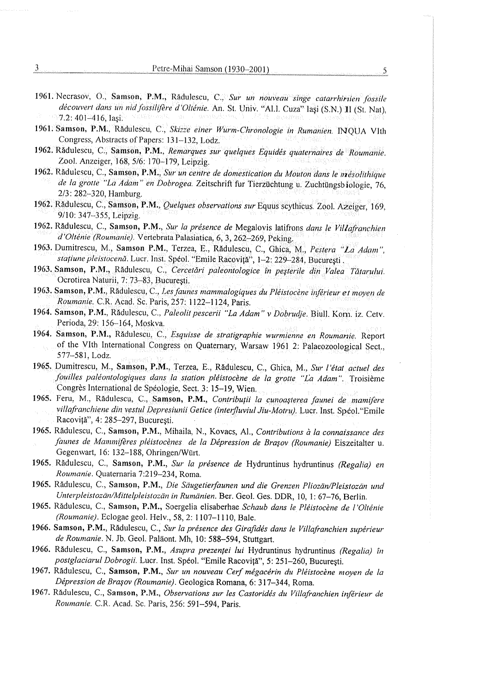- 1961. 1961. Necrasov, O., Samson, P.M., Rădulescu, C., Sur un nouveau singe catarrhirien fossile<br>decouvert dans un nid fossilifere d'Oltenie. An. St. Univ. "Al.I. Cuza" lași (S.N.) II (St. Nat),<br>7.2: 401–416, Iași.
- 1961, Samson, P.M., Rădulescu, C., Skizze einer Wurm-Chronologie in Rumanien. INQUA VIth Congress, Abstracts of Papers: 131-132, Lodz. Congress, Abstracts of Papers: 131-132, Lodz.
- 1962, Radulescu, C., Samson, P.M., Remarques sur quelques Equidés quaternaires de Roumanie, 1962, Radulescu, C., Samson, P.M., Remarques sur quelques Equidés quaternaires de Roumanie, Zool. Anzeiger, 168, 5/6: 170-179, Leipzig. Zool. Anzeiger, 168, 5/6: 170-179, Leipzig.
- 1962. Rădulescu, C., Samson, P.M., Sur un centre de domestication du Mouton dans le mésolithique<br>de la grotte "La Adam" en Dobrogea. Zeitschrift fur Tierzüchtung u. Zuchtüngsbiologie, 76,<br>2/3: 282–320, Hamburg. de la grotte "La Adam" en Dobrogea. Zeitschrift fur Tierzüchtung u. Zuchtüngsbiologie, 76, 2/3: 282-320, Hamburg.
- 1962. Radulescu, C., Samson, P.M., *Quelques observations sur* Equus scythicus. Zool. Azeiger, 169,<br>9/10: 347–355, Leipzig.
- 1962. Rădulescu, C., Samson, P.M., Sur la présence de Megalovis latifrons dans le Villafranchien d'Olténie (Roumanie). Vertebrata Palasiatica, 6, 3, 262-269, Peking. d'Olténie (Roumanie). Vertebrata Palasiatica, 6, 3, 262-269, Peking.
- 1963. Dumitrescu, M., Samson, P.M., Terzea, E., Rădulescu, C., Ghica, M., Pestera "La Adam", stațiune pleistocenă. Lucr. Inst. Spéol. "Emile Racoviță", 1–2: 229–284, București .
- 1963. Samson, P.M., Rădulescu, C., Cercetări paleontologice în peșterile din Valea Tătarului. Ocrotirea Naturii, 7: 73-83, Bucuresti. Ocrotirea Naturii, 7:.73-83, Bucuresti.
- 1963. Samson, P.M., Radulescu, C., Les faunes mammalogiques du Pléistocéne inférieur et moyen de 1963. Samson, P.M., Radulescu, C., Les faunes mammalogiques du Pléistocéne inférieur et moyen de Roumanie. CR. Acad. Sc. Paris, 257: 1122-1124, Paris. Roumanie. CR. Acad. Sc. Paris, 257: 1122-1124, Paris.
- 1964. Samson, P.M., Rădulescu, C., *Paleolit pescerii "La Adam" v Dobrudje.* Biull, Kom. iz. Cetv. Perioda, 29: 156-164, Moskva. Perioda, 29: 156-164, Moskva.
- 1964. Samson, P.M., Rădulescu, C., *Esquisse de stratigraphie wurmienne en Roumanie*. Report of the VIth International Congress on Quaternary, Warsaw 1961 2: Palaeozoological Sect., 577-581, Lodz. 577-581, Lodz.
- 1965, Dumitrescu, M., Samson, P.M., Terzea, E., Rădulescu, C., Ghica, M., Sur l'état actuel des fouilles paléontologiques dans la station pléistocène de la grotte "La Adam". Troisième Congrés International de Spéologie, Sect, 3: 15~19, Wien. Congrés International de Spéologie, Sect, 3: 15~19, Wien.
- 1965. Feru, M., Rădulescu, C., Samson, P.M., *Contribuții la cunoașterea faunei de mamifere* villafranchiene din vestul Depresiunii Getice (interfluviul Jiu-Motru), Lucr. Inst. Spéol."Emile Racovită", 4: 285–297, Bucuresti. , anno 1988, contra un provincia de la contra de la contra de la contra de l
- 1965. Rădulescu, C., Samson, P.M., Mihaila, N., Kovacs, Al., Contributions à la connaissance des Jaunes de Mammifeéres pléistocénes de la Dépression de Bragov (Roumanie) Eiszeitalter u. Jaunes de Mammifeéres pléistocénes de la Dépression de Bragov (Roumanie) Eiszeitalter u. Gegenwart, 16: 132-188, Ohringen/Wirt. Gegenwart, 16: 132-188, Ohringen/Wirt.
- 1965. Rădulescu, C., Samson, P.M., *Sur la présence de* Hydruntinus hydruntinus *(Regalia) en* Roumanie. Quaternaria 7:219-234, Roma. Roumanie. Quaternaria 7:219-234, Roma.
- 1965. Rădulescu, C., Samson, P.M., Die Säugetierfaunen und die Grenzen Pliozän/Pleistozän und Unterpleistozén/Mittelpleistozdn in Ruménien. Ber. Geol. Ges. DDR, 10, 1: 67-76, Berlin. Unterpleistozén/Mittelpleistozdn in Ruménien. Ber. Geol. Ges. DDR, 10, 1: 67-76, Berlin.
- 1965. Rădulescu, C., Samson, P.M., Soergelia elisaberhae *Schaub dans le Pléistocène de l'Olténie* (Roumanie). Eclogae geol. Helv., 38, 2: 1107-1110, Bale. (Roumanie). Eclogae geol. Helv., 38, 2: 1107-1110, Bale.
- 1966. Samson, P.M., Rădulescu, C., Sur la présence des Girafidés dans le Villafranchien supérieur de Roumanie. N. Jb. Geol. Paläont. Mh. 10: 588–594. Stuttgart.
- 1966. Rădulescu, C., Samson, P.M., *Asupra prezentei lui* Hydruntinus hydruntinus *(Regalia) în* postglaciarul Dobrogii. Luer. Inst. Spéol. "Emile Racovita", 5: 251-260, Bucuresti. postglaciarul Dobrogii. Luer. Inst. Spéol. "Emile Racovita", 5: 251-260, Bucuresti.
- 1967. Radulescu, C., Samson, P.M., Sur un nouveau Cerf mégacérin du Pléistocéne moyen de la 1967. Radulescu, C., Samson, P.M., Sur un nouveau Cerf mégacérin du Pléistocéne moyen de la Dépression de Brasov (Roumanie). Geologica Romana, 6: 317-344, Roma. Dépression de Brasov (Roumanie). Geologica Romana, 6: 317-344, Roma.
- 1967. Radulescu, C., Samson, P.M., Observations sur les Castoridés du Villafranchien inférieur de 1967. Radulescu, C., Samson, P.M., Observations sur les Castoridés du Villafranchien inférieur de Roumanie. C.R. Acad. Sc. Paris, 256: 591-594, Paris. Roumanie. C.R. Acad. Sc. Paris, 256: 591-594, Paris.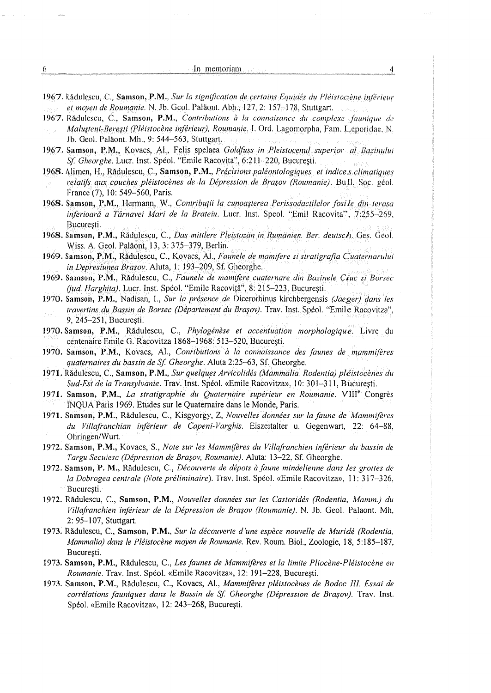- 1967, Rădulescu, C., **Samson, P.M.**, *Sur la signification de certains Equidés du Pléistoc ène. inférieur* et moyen de Roumanie. N. Jb. Geol. Paläont. Abh.; 127, 2: 157-178, Stuttgart. The studies
- 1967. Rădulescu, C., Samson, P.M., Contributions à la connaisance du complexe faunique de Malusteni-Beresti (Pléistocéne inférieur}, Roumanie. 1. Ord, Lagomorpha, Fam. L.eporidae..N. Malusteni-Beresti (Pléistocéne inférieur}, Roumanie, 1. Ord, Lagomorpha, Fam. L.eporidae..N. Jb. Geol. Paldont. Mh., 9: 544-563, Stuttgart, Jb. Geol. Paldont. Mh., 9: 544-563, Stuttgart,
- 1967. Samson, P.M., Kovacs, Al., Felis spelaea Goldfuss in Pleistocenul superior al Bazinului Sf, Gheorghe. Lucr. Inst. Spéol. "Emile Racovita", 6:211-220, Bucuresti. Sf, Gheorghe. Lucr. Inst. Spéol. "Emile Racovita", 6:211-220, Bucuresti.
- 1968. Alimen, H., Rădulescu, C., Samson, P.M., Précisions paléontologiques et indice selimatiques relatifs. aux. couches. pléistocénes dela Dépression de Brasov (Roumanie). Bull, Soc. géol. relatifs. aux. couches. pléistocénes dela Dépression de. Brasov (Roumanie). Bull, Soc. géol. France (7), 10: 549-560, Paris. France (7), 10: 549-560, Paris.
- 1968. Samson, P.M., Hermann, W., Contribuții la cunoașterea Perissodactilelor fosile.din terasa inferioară a Târnavei Mari de la Brateiu. Lucr. Inst. Speol. "Emil Racovita", 7:255–269, Bucuresti.
- 1968. Samson, P.M., Rădulescu, C., *Das mittlere Pleistozän in Rumänien. Ber. deutsch.* Ges. Geol. Wiss. A. Geol. Palaont, 13, 3: 375-379, Berlin. Wiss. A. Geol. Paldont, 13, 3: 375-379, Berlin.
- 1969, Samson, P.M., Radulescu, C., Kovacs, Al., Faunele de mamifere si stratigrafia Cuaternarului 1969, Samson, P.M., Radulescu, C., Kovacs, Al., Faunele de mamifere si stratigrafia Cuaternarului in Depresiunea Brasov. Aluta, |: 193-209, Sf. Gheorghe. in Depresiunea Brasov. Aluta, |: 193-209, Sf. Gheorghe.
- 1969. Samson, P.M., Radulescu, C., Faunele de mamifere cuaternare din Bazinele Ciuc si Borsec 1969. Samson, P.M., Radulescu, C., Faunele de mamifere cuaternare din Bazinele Ciuc si Borsec (*jud. Harghita*). Lucr. Inst. Spéol. "Emile Racovită", 8: 215–223, București.
- 1970. Samson, P.M., Nadisan, I., *Sur la présence de Dicerorhinus kirchbergensis (Jaeger) dans les* travertins du Bassin de Borsee (Département du Brasov). Trav. Inst. Spéol. "Emile Racovitza". travertins du Bassin de Borsec (Département du Brasov). Trav. Inst. Spéol. "Emile Racovitza". 9, 245-251, Bucuresti. 9, 245-251, Bucuresti.
- 1970. Samson, P.M., Radulescu, C., Phylogénése et accentuation morphologique. Livre du 1970. Samson, P.M., Radulescu, C., Phylogénése et accentuation morphologique. Livre du centenaire Emile G. Racovitza 1868-1968: 513-520, Bucuresti. centenaire Emile G. Racovitza 1868-1968: 513-520, Bucuresti.
- 1970. Samson, P.M., Kovacs, Al., Conributions à la connaissance des faunes de mammifères quaternaires du bassin de Sf. Gheorghe. Aluta 2:25–63, Sf. Gheorghe.
- 1971. Radulescu, C., Samson, P.M., Sur quelques Arvicolidés (Mammalia, Rodentia) pléistocénes du 1971. Radulescu, C., Samson, P.M., Sur quelques Arvicolidés (Mammalia, Rodentia) pléistocénes du Sud-Est de la Transylvanie. Trav. Inst. Spéol. «Emile Racovitza», 10: 301-311, Bucuresti. Sud-Est de la Transylvanie. Trav. Inst. Spéol. «Emile Racovitza», 10: 301-311, Bucuresti.
- 1971. Samson, P.M., *La stratigraphie du Quaternaire supérieur en Roumanie*. VIII<sup>e</sup> Congrès INQUA Paris 1969. Etudes sur le Quaternaire dans le Monde, Paris. INQUA Paris 1969. Etudes sur le Quaternaire dans le Monde, Paris.
- 1971. Samson, P.M., Radulescu, C., Kisgyorgy, Z, Nouvelles données sur la faune de Mammiféres 1971. Samson, P.M., Radulescu, C., Kisgyorgy, Z, Nouvelles données sur la faune de Mammiféres du Villafranchian inférieur de Capeni-Varghis. Eiszeitalter u. Gegenwart, 22: 64-88, du Villafranchian inférieur de Capeni-Varghis. Eiszeitalter u. Gegenwart, 22: 64-88, Ohringen/Wurt. Ohringen/Wurt.
- 1972. Samson, P.M., Kovacs, S., Note sur les Mammiféres du Villafranchien inférieur du bassin de 1972. Samson, P.M., Kovacs, S., Note sur les Mammiféres du Villafranchien inférieur du bassin de Targu Secuiesc (Dépression de Brasov, Roumanie). Aluta: 13-22, Sf. Gheorghe. Targu Secuiesc (Dépression de Brasov, Roumanie). Aluta: 13-22, Sf. Gheorghe.
- 1972. Samson, P. M., Rădulescu, C., Découverte de dépots à faune mindelienne dans les grottes de la Dobrogea centrale (Note préliminaire). Trav. Inst. Spéol. «Emile Racovitza», 11: 317-326, la Dobrogea centrale (Note préliminaire). Trav. Inst. Spéol. «Emile Racovitza», 11: 317-326, Bucuresti.
- 1972. Radulescu, C., Samson, P.M., Nouvelles données sur les Castoridés (Rodentia, Mamm.) du 1972. Radulescu, C., Samson, P.M., Nouvelles données sur les Castoridés (Rodentia, Mamm.) du Villafranchien inférieur de la Dépression de Brasov (Roumanie). N. Jb. Geol. Palaont. Mh, Villafranchien inférieur de la Dépression de Brasov (Roumanie). N. Jb. Geol. Palaont. Mh, 2: 95-107, Stuttgart. 2: 95~107, Stuttgart.
- 1973. Radulescu, C., Samson, P.M., Sur la découverte d'une espéce nouvelle de Muridé (Rodentia, 1973. Radulescu, C., Samson, P.M., Sur la découverte d'une espéce nouvelle de Muridé (Rodentia, Mammalia) dans le Pléistocéne moyen de Roumanie. Rev. Roum. Biol. Zoologie, 18, 5:185~-187, Mammalia) dans le Pléistocéne moyen de Roumanie. Rev. Roum. Biol. Zoologie, 18, 5:185~-187, Bucuresti.
- 1973. Samson, P.M., Rădulescu, C., *Les faunes de Mammifères et la limite Pliocène-Pléistocène en* Roumanie. Trav. Inst. Spéol. «Emile Racovitza», 12: 191-228, Bucuresti. Roumanie. Trav. Inst. Spéol. «Emile Racovitza», 12: 191-228, Bucuresti.
- 1973, Samson, P.M., Radulescu, C., Kovacs, Al., Mammiféres pléistocénes de Bodoc Ill. Essai de 1973, Samson, P.M., Radulescu, C., Kovacs, Al., Mammiféres pléistocénes de Bodoc Ill. Essai de corrélations fauniques dans le Bassin de Sf Gheorghe (Dépression de Brasov). Trav. Inst. corrélations fauniques dans le Bassin de Sf Gheorghe (Dépression de Brasov). Trav. Inst. Spéol. «Emile Racovitza», 12: 243-268, Bucuresti. Spéol. «Emile Racovitza», 12: 243-268, Bucuresti.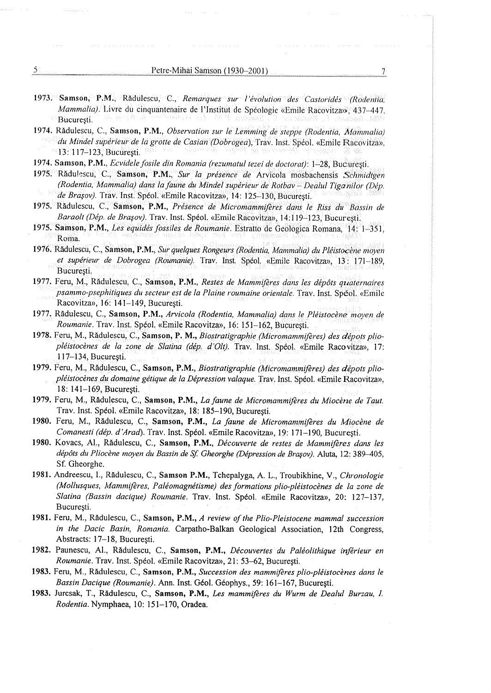- 1973, Samson, P.M., Radulescu, C., *Remarques sur l'évolution des Castoridés (Rodentia*, Mammalia). Livre du cinquantenaire de l'Institut de Spéologie «Emile Racovitza», 437-447, Mammalia). Livre du cinquantenaire de l'Institut de Spéologie «Emile Racovitza», 437-447, Bucuresti. : Bucuresti. In the Community of the County of Bundale Political Political Political Properties (1889) (1889. F
- 1974, Radulescu, C., Samson, P.M., Observation sur le Lemming de steppe (Rodentia, Mammalia) 1974, Radulescu, C., Samson, P.M., Observation sur le Lemming de steppe (Rodentia, Mammalia) du Mindel supérieur de la grotte de Casian (Dobrogea), Trav. Inst. Spéol. «Emile Racovitza», 13: 117-123, Bucuresti. 13: 117-123, Bucuresti.
- 1974, Samson, P.M., Ecvidele fosile din Romania (rezumatul tezei de doctorat): 1-28, Bucuresti. 1974, Samson, P.M., Ecvidele fosile din Romania (rezumatul tezei de doctorat): 1-28, Bucuresti.
- 1975. Radulescu, C., Samson, P.M., *Sur la présence de* Arvicola mosbachensis *Schmidtgen* (Rodentia, Mammalia) dans la faune du Mindel supérieur de Rotbay ~~ Dealul Tiga nilor (Dép. (Rodentia, Mammalia) dans la faune dy Mindel supérieur de Rotbav ~ Deahil Tiga nilor (Dép. de Brasov). Trav. Inst. Spéol. «Emile Racovitza», 14: 125-130, Bucuresti. de Brasov). Trav. Inst. Spéol. «Emile Racovitza», 14: 125-130, Bucuresti. Petre-Mihai Samson (1930–2001)<br>
1988 (Rodentia, F.M., Rădulescu, C., Remarques sur l'évolution des Castoridés (Rodentia, ammalia). Livre du cinquantenaire de l'Institut de Spéologie «Emile Racovitza», 437–447, currești.<br>
a
- 1975, Radulescu, C., Samson, P.M., Présence de Micromammiféres dans le Riss du Bassin de 1975, Radulescu, C., Samson, P.M., Présence de Micromammiféres dans le Riss du Bassin de Baraolt (Dép. de Bragov). Tray. Inst. Spéol. «Emile Racovitza», 14:119-123, Bucuresti. Baraolt (Dép. de Bragov). Tray. Inst. Spéol. «Emile Racovitza», 14:119-123, Bucuresti.
- 1975. Samson, P.M., Les equidés fossiles de Roumanie. Estratto de Geologica Romana, 14: 1–351, Roma.
- 1976. Radulescu, C., Samson, P.M., Sur quelques Rongeurs (Rodentia, Mammalia) du Pléistocéne moyen 1976. Radulescu, C., Samson, P.M., Sur quelques Rongeurs (Rodentia, Mammalia) du Pléistocéne moyen et supérieur de Dobrogea '(Roumanie): Trav. Inst. Spéol, «Emile Racovitzan, J3: 171-189, et supérieur de Dobrogea (Roumanie): Trav. Inst. Spéol, «Emile Racovitza», 3: 171-189, Bucuresti. , Bucuresti.
- 1977. Feru, M., Rădulescu, C., Samson, P.M., *Restes de Mammifères dans les dépôts quaternaires* psammo-psephitiques du secteur est de la Plaine roumaine orientale. Tray. Inst. Spéol.. «Emile psammo-psephitiques du secteur est de la Plaine roumaine orientale. Trav. Inst. Spéol.. «Emile Racovitza», 16: 141-149, Bucuresti. Racovitza», 16: 141-149, Bucuresti.
- 1977. Radulescu, C., Samson, P.M., Arvicola (Rodentia, Mammalia) dans le Pléistocéne moyen de 1977, Radulescu, C., Samson, P.M., Arvicola (Rodentia, Mammalia) dans le Pléistocéne moyen de Roumanie. Trav. Inst. Spéol, «Emile Racovitza», 16: 151-162, Bucuresti. Roumanie. Trav. Inst. Spéol, «Emile Racovitza», 16: 151-162, Bucuresti.
- 1978. Feru, M., Radulescu, C., Samson, P. M., Biostratigraphie (Micromammiféres) des dépots plio-1978. Feru, M., Radulescu, C., Samson, P. M., Biostratigraphie (Micromammiféres) des dépots pliopléistocénes de la zone de. Slatina (dép. d'Ol). Trav. Inst. Spéol. «Emile Racovitza», 17: pléistocénes de la zone de. Slatina (dép. d'Ol). Trav, Inst. Spéol. «Emile Racovitza», 17: 117-134, Bucuresti. 117-134, Bucuresti.
- 1979. Feru, M., Rădulescu, C., Samson, P.M., *Biostratigraphie (Micromammifères) des dépots plio*pléistocènes du domaine gétique de la Dépression valaque. Trav. Inst. Spéol. «Emile Racovitza», 18: 141-169, Bucuresti. 18: 141-169, Bucuresti.
- 1979, Feru, M., Rădulescu, C., Samson, P.M., *La faune de Micromammifères du Miocène de Taut.* Trav. Inst. Spéol. «Emile Racovitza», 18: 185-190, Bucuresti. Trav. Inst. Spéol. «Emile Racovitza», 18: 185-190, Bucuresti.
- 1980. Feru, M., Rădulescu, C., Samson, P.M., *La faune de Micromanmifères du Miocène de* Comanesti (dép. d'Arad). Trav. Inst. Spéol. «Emile Racovitza», 19:.171-190, Bucuresti. Comanesti (dép. d'Arad). Trav. Inst. Spéol. «Emile Racovitza», 19:.171-190, Bucuresti.
- 1980. Kovacs, Al., Rădulescu, C., Samson, P.M., *Découverte de restes de Mammifères dans les* dépéts du Pliocene moyen du Bassin de Sf Gheorghe (Dépression de Brasov). Aluta, 12: 389-405, dépéts du Pliocene moyen du Bassin de Sf, Gheorghe (Dépression de Brasov). Aluta, 12: 389-405, Sf. Gheorghe. Sf. Gheorghe.
- 1981. Andreescu, I., Rădulescu, C., Samson P.M., Tchepalyga, A. L., Troubikhine, V., Chronologie (Mollusques, Mammiferes, Paléomagnétisme) des formations plio-pléistocénes de la zone de (Mollusques, Mammiferes, Paléomagnétisme) des formations plio-pléistocénes de la zone de Slatina (Bassin dacique) Roumanie. Trav. Inst. Spéol. «Emile Racovitza», 20: 127-137, Slatina (Bassin dacique) Roumanie. Trav. Inst. Spéol. «Emile Racovitza», 20: 127-137, Bucuresti. Bucuresti.
- 1981. Feru, M., Rădulescu, C., Samson, P.M., A review of the Plio-Pleistocene mammal succession in the Dacic Basin, Romania. Carpatho-Balkan Geological Association, 12th Congress, in the Dacic Basin, Romania. Carpatho-Balkan Geological Association, 12th Congress, Abstracts: 17-18, Bucuresti. Abstracts: 17-18, Bucuresti.
- 1982. Paunescu, Al., Rădulescu, C., Samson, P.M., *Découvertes du Paléolithique inférieur en* Roumanie. Trav. Inst. Spéol. «Emile Racovitza», 21: 53-62, Bucuresti. Roumanie. Trav. Inst. Spéol. «Emile Racovitza», 21: 53-62, Bucuresti.
- 1983, Feru, M., Rădulescu, C., Samson, P.M., Succession des mammifères plio-pléistocènes dans le Bassin Dacique (Roumanie). Ann. Inst. Géol. Géophys., 59: 161-167, Bucuresti. Bassin Dacique (Roumanie). Ann. Inst. Géol. Géophys., 59: 161-167, Bucuresti.
- 1983. Jurcsak, T., Radulescu, C., Samson, P.M., Les mammiféres du Wurm de Dealul Burzau, I. 1983. Jurcsak, T., Radulescu, C., Samson, P.M., Les mammiféres du Wurm de Dealul Burzau, I. Rodentia. Nymphaea, 10: 151-170, Oradea. Rodentia. Nymphaea, 10: 151-170, Oradea.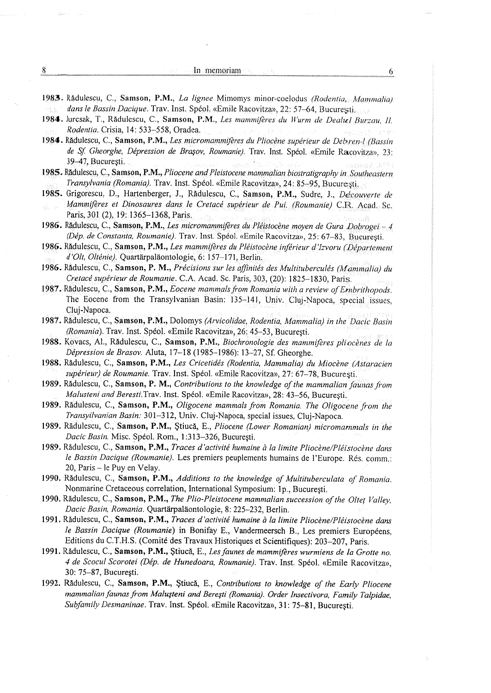## In memoriam  $\mathbb{R}^n$ ,  $\mathbb{R}^n$  $\dim$  memoriam 6 and  $\delta$

1983. Radulescu, C., Samson, P.M., *La lignee* Mimomys minor-coelodus (Rodentia, *Mammalia)* dans le Bassin Dacique. Trav. Inst. Spéol. «Emile Racovitza», 22: 57–64, Bucuresti, etterminisme de l'architect

- 1984. Juresak, T., Rădulescu, C., Samson, P.M., *Les mammifères du Wurm de Deahel Burzau, JI.* Rodentia, Crisia, 14: 533-558, Oradea. Rodentia, Crisia, 14: 533-558, Oradea.
- 1984. Rădulescu, C., Samson, P.M., *Les micromammifères du Pliocène supérieur de Debren-l. (Bassin* de Sf Gheorghe, Dépression de Brasov, Roumanie). Trav. Inst. Spéol.. «Emile Racovitza», 23: de Sf Gheorghe, Dépression de Brasov, Roumanie). Trav. Inst. Spéol.. «Emile Racovitza», 23: 39-47, Bucuresti. 39-47, Bucuresti.
- 1985. Radulescu, C., Samson, P.M., Pliocene and Pleistocene mammalian biostratigraphy in Southeastern Transylvania (Romania). Trav. Inst. Spéol. «Emile Racovitza», 24: 85-95, Bucuresti. Transylvania (Romania). Trav. Inst. Spéol. «Emile Racovitza», 24: 85-95, Bucuresti,
- 1985. Grigorescu, D., Hartenberger, J., Rădulescu, C., Samson, P.M., Sudre, J., *Découverte de* Mammifères et Dinosaures dans le Cretacé supérieur de Pui. (Roumanie) C.R. Acad.-Se. Paris, 301 (2), 19: 1365-1368, Paris. : : Paris, 301 (2), 19: 1365-1368, Paris. :
- 1986. Rădulescu, C., Samson, P.M., Les micromammifères du Pléistocène moyen de Gura Dobrogei.—4 (Dép. de Constanta, Roumanie). Trav. Inst. Spéol. «Emile Racovitza», 25: 67-83, Bucuresti. (Dép. de Constanta, Roumanie). Trav. Inst. Spéol. «Emile Racovitza», 25: 67-83, Bucuresti.
- 1986. Rădulescu, C., Samson, P.M., *Les mammifères du Pléistocène inférieur d'Izvoru (Département* d'Olt, Olténie). Quartarpalaontologie, 6: 157-171, Berlin. d'Oht, Olténie). Quartarpalaontologie, 6: 157-171, Berlin.
- 1986. Rădulescu, C., Samson, P. M., *Précisions sur les affinités des Multituberculés (Mammalia) du* Cretacé supérieur de Roumanie. C.A. Acad, Sc. Paris, 303, (20): 1825-1830, Paris, Cretacé supérieur de Roumanie. C.A. Acad, Sc. Paris, 303, (20): 1825-1830, Paris,
- 1987. Radulescu, C., Samson, P.M., Eocene mammals from Romania with a review of Embrithopods. 1987. Radulescu, C., Samson, P.M., Eocene mammals from Romania with a review of Embrithopods. The Eocene from the Transylvanian Basin: 135-141, Univ. Cluj-Napoca, special Issues, The Eocene from the Transylvanian Basin: 135-141, Univ. Cluj-Napoca, special Issues, Cluj-Napoca. Cluj-Napoca.
- 1987. Radulescu, C., Samson, P.M., Dolomys *(Arvicolidae, Rodentia, Mammalia) in the Dacic Basin* (Romania). Trav. Inst. Spéol. «Emile Racovitza», 26; 45-53, Bucuresti. (Romania). Trav. Inst. Spéol. «Emile Racovitza», 26; 45-53, Bucuresti.
- 1988. Kovacs, Al., Radulescu, C., Samson, P.M. , Biochronologie des mammiféres pliocénes de la 1988. Kovacs, Al., Radulescu, C., Samson, P.M. , Biochronologie des mammiféres pliocénes de la Dépression de Brasov. Aluta, 17-18 (1985-1986): 13-27, Sf. Gheorghe. Dépression de Brasov. Aluta, 17-18 (1985-1986): 13-27, Sf. Gheorghe.
- 1988. Radulescu, C., Samson, P.M., Les Cricetidés (Rodentia, Mammalia) du Miocéne (Astaracien 1988. Radulescu, C., Samson, P.M., Les Cricetidés (Rodentia, Mammalia) du Miocéne (Astaracien supérieur) de Roumanie. Trav. Inst. Spéol. «Emile Racovitza», 27: 67-78, Bucuresti. supérieur) de Roumanie. Trav. Inst. Spéol. «Emile Racovitza», 27: 67-78, Bucuresti.
- 1989. Radulescu, C., Samson, P. M., Contributions to the knowledge of the mammalian faunas from Malusteni and Beresti.Trav. Inst. Spéol. «Emile Racovitza», 28: 43-56, Bucuresti. Malusteni and Beresti.Trav. Inst. Spéol. «Emile Racovitza», 28: 43-56, Bucuresti.
- 1989. Radulescu, C., Samson, P.M., Oligocene mammals from Romania. The Oligocene from the 1989. Radulescu, C., Samson, P.M., Oligocene mammals from Romania. The Oligocene from the Transyilvanian Basin: 301~312, Univ. Cluj-Napoca, special issues, Cluj-Napoca. Transyilvanian Basin: 301-312, Univ. Cluj-Napoca, special issues, Cluj-Napoca.
- 1989. Rădulescu, C.; Samson, P.M., Stiucă, E., Pliocene (Lower Romanian) micromammals in the Dacic Basin. Misc. Spéol. Rom., 1:313-326, Bucuresti. Dacic Basin. Misc. Spéol. Rom., 1:313-326, Bucuresti.
- 1989. Rădulescu, C., Samson, P.M., *Traces d'activité humaine à la limite Pliocène/Pléistocène dans* le Bassin Dacique (Roumanie). Les premiers peuplements humains de l'Europe. Rés. comm.: 20, Paris ~ le Puy en Velay. 20, Paris ~ le Puy en Velay.
- 1990. Rădulescu, C., Samson, P.M., Additions to the knowledge of Multituberculata of Romania. Nonmarine Cretaceous correlation, International Symposium: Ip., Bucuresti. Nonmarine Cretaceous correlation, International Symposium: Ip., Bucuresti.
- 1990. Rădulescu, C., Samson, P.M., *The Plio-Pleistocene mammalian succession of the Oltet Valley*, Dacic Basin, Romania. Quartérpalaontologie, 8: 225-232, Berlin. Dacic Basin, Romania. Quartérpalaontologie, 8: 225-232, Berlin.
- 1991, Rădulescu, C., **Samson, P.M.,** *Traces d'activité humaine à la limite Pliocène/Pléistocène dans* le Bassin Dacique (Roumanie) in Bonifay E., Vandermeersch B., Les premiers Européens, le Bassin Dacique (Roumanie) in Bonifay E., Vandermeersch B., Les premiers Européens, Editions du C.T.H.S. (Comité des Travaux Historiques et Scientifiques): 203-207, Paris. Editions du C.T.H.S. (Comité des Travaux Historiques et Scientifiques): 203-207, Paris.
- 1991. Rădulescu, C., **Samson, P.M.,** Stiucă, E., *Les faunes de mammifères wurmiens de la Grotte no*. 4 de Scocul Scorotei (Dép. de Hunedoara, Roumanie). Trav. Inst. Spéol. «Emile Racovitza», 4 de Scocul Scorotei (Dép. de Hunedoara, Roumanie). Trav. Inst. Spéol. «Emile Racovitza», 30: 75-87, Bucuresti. 30: 75-87, Bucuresti.
- 1992. Rădulescu, C., Samson, P.M., Stiucă, E., Contributions to knowledge of the Early Pliocene mammalian faunas from Malusteni and Beresti (Romania). Order Insectivora, Family Talpidae, mammalian faunas from Malusteni and Beresti (Romania). Order Insectivora, Family Talpidae, Subfamily Desmaninae. Trav. Inst. Spéol. «Emile Racovitza», 31: 75-81, Bucuresti. Subfamily Desmaninae. Trav. Inst. Spéol. «Emile Racovitza», 31: 75-81, Bucuresti.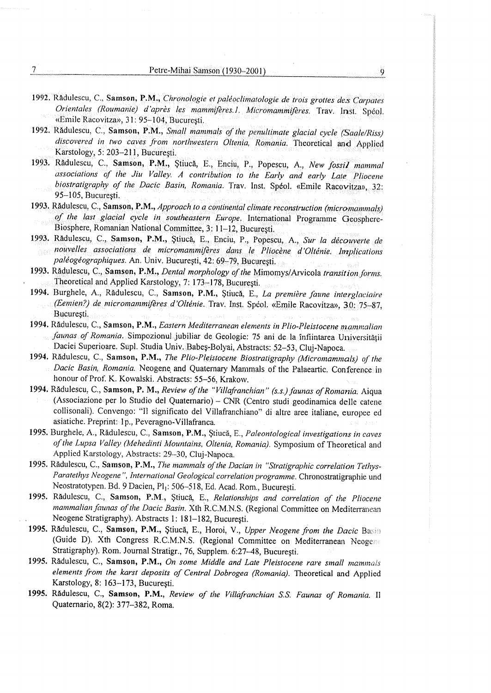- 1992. Radulescu, C., Samson, P.M., Chronologie et paléoclimatologie de trois grottes des Carpates Orientales (Roumanie) d'après les mammifères. l. Micromammifères. Trav. Inst. Spéol.<br>«Emile-Racovitza», 31:95–104, București.
- 1992. Radulescu, C., Samson, P.M., Small mammals of the penultimate glacial cycle (Saale/Riss) discovered in two caves from northwestern Oltenia, Romania, Theoretical and Applied discovered in two caves from northwestern Oltenia, Romania, Theoretical and Applied Karstology, 5: 203-211, Bucuresti, Karstology, 5: 203-211, Bucuresti,
- 1993. Rădulescu, C., Samson, P.M., Stiucă, E., Enciu, P., Popescu, A., New fossil mammal Rădulescu, C., Samson, P.M., Știucă, E., Enciu, P., Popescu, A., New fossil mammal<br>associations of the Jiu Valley. A contribution to the Early and early Late Pliocene<br>biostratigraphy of the Dacic Basin, Romania. Trav. Inst
- 1993. Radulescu, C., Samson, P.M., Approach to a continental climate reconstruction (micromammals) Radulescu, C., Samson, P.M., *Approach to a continental climate reconstruction (micromammals)*<br>of the last glacial cycle in southeastern Europe. International Programme Geosphere-Biosphere, Romanian National Committee, 3: 11-12, Bucuresti. Biosphere, Romanian National Committee, 3: 11-12, Bucuresti.
- 1993. Rădulescu, C., Samson, P.M., Știucă, E., Enciu, P., Popescu, A., Sur la decouverte de<br>nouvelles associations de micromammifères dans le Pliocène d'Olténie. Implications paléogéographiques. An. Univ. Bucuresti, 42: 69-79, Bucuresti. paléogéographiques. An. Univ. Bucuresti, 42: 69-79, Bucuresti.
- 1993. Radulescu, C., Samson, P.M., Dental morphology of the Mimomys/Arvicola transition forms. Theoretical and Applied Karstology, 7: 173–178, Bucuresti.
- 1994. Burghele, A., Rădulescu, C., Samson, P.M., Știucă, E., *La première faune interglaciaire* (Eemien?) de micromammifères d'Olténie. Trav, Inst. Spéol, «Emile Racovitza», 30: 75–87; Bucuresti. Bucuresti.
- 1994, Rădulescu, C., Samson, P.M., *Eastern Mediterranean elements in Plio-Pleistocene mammalian* faunas of Romania, Simpozionul jubiliar de Geologie: 75 ani de la înfiintarea Universității<br>Daciei Superioare. Supl. Studia Univ. Babeș-Bolyai, Abstracts: 52–53, Cluj-Napoca.
- 1994, Radulescu, C., Samson, P.M., The Plio-Pleistocene Biostratigraphy (Micromammals) of the 1994, Radulescu, C., Samson, P.M., The Plio-Pleistocene Biostratigraphy (Micromammals) of the Dacic Basin, Romania. Neogene and Quaternary Mammals of the Palaeartic. Conference in Dacic Basin, Romania. Neogene and Quaternary Mammals of the Palaeartic. Conference in honour of Prof. K. Kowalski. Abstracts: 55-56, Krakow. honour of Prof. K. Kowalski. Abstracts: 55-56, Krakow.
- 1994, Rădulescu, C., Samson, P. M., *Review of the "Villafranchian" (s.s.) faunas of Romania.* Aigua (Associazione per lo Studio del Quaternario) – CNR (Centro studi geodinamica delle catene<br>collisonali). Convengo: "Il significato del Villafranchiano" di altre aree italiane, europee ed asiatiche. Preprint:-1p., Peveragno-Villafranca. asiatiche. Preprint:1p., Peveragno-Villafranca.
- 1995. Burghele, A., Rădulescu, C., Samson, P.M., Știucă, E., Paleontological investigations in caves<br>of the Lupsa Valley (Mehedinti Mountains, Oltenia, Romania). Symposium of Theoretical and of the Lupsa Valley (Mehedinti Mountains, Oltenia, Romania). Symposium of Theoretical and Applied Karstology, Abstracts: 29-30, Cluj-Napoca. Applied Karstology, Abstracts: 29-30, Cluj-Napoca.
- 1995. Rădulescu, C., Samson, P.M., The mammals of the Dacian in "Stratigraphic correlation Tethys-Paratethys Neogene", International Geological correlation programme. Chronostratigraphie und Paratethys Neogene", International Geological correlation programme. Chronostratigraphie und Neostratotypen. Bd. 9 Dacien, Pl): 506~518, Ed. Acad. Rom., Bucuresti. Neostratotypen. Bd. 9 Dacien, Pl): 506~518, Ed. Acad. Rom., Bucuresti.
- 1995. Rădulescu, C., Samson, P.M., Știucă, E., Relationships and correlation of the Pliocene mammalian faunas of the Dacic Basin. Xth R.C.M.N.S. (Regional Committee on Mediterranean Neogene Stratigraphy). Abstracts 1: 181-182, Bucuresti. Neogene Stratigraphy). Abstracts 1: 181-182, Bucuresti.
- 1995. Rădulescu, C., Samson, P.M., Stiucă, E., Horoi, V., Upper Neogene from the Dacic Basili (Guide D). Xth Congress R.C.M.N.S. (Regional Committee on Mediterranean Neogers Stratigraphy). Rom. Journal Stratigr., 76, Supplem. 6:27-48, Bucuresti. Stratigraphy). Rom. Journal Stratigr., 76, Supplem. 6:27-48, Bucuresti.
- 1995. Radulescu, C., Samson, P.M., On some Middle and Late Pleistocene rare small mammals elements from the karst deposits of Central Dobrogea (Romania). Theoretical and Applied elements from the karst deposits of Central Dobrogea (Romania). Theoretical and Applied Karstology, 8: 163-173, Bucuresti. Karstology, 8: 163-173, Bucuresti.
- 1995. Rădulescu, C., Samson, P.M., Review of the Villafranchian S.S. Faunas of Romania. Il Quaternario, 8(2): 377-382, Roma. Quaternario, 8(2): 377-382, Roma.

 $\overline{\phantom{a}}$